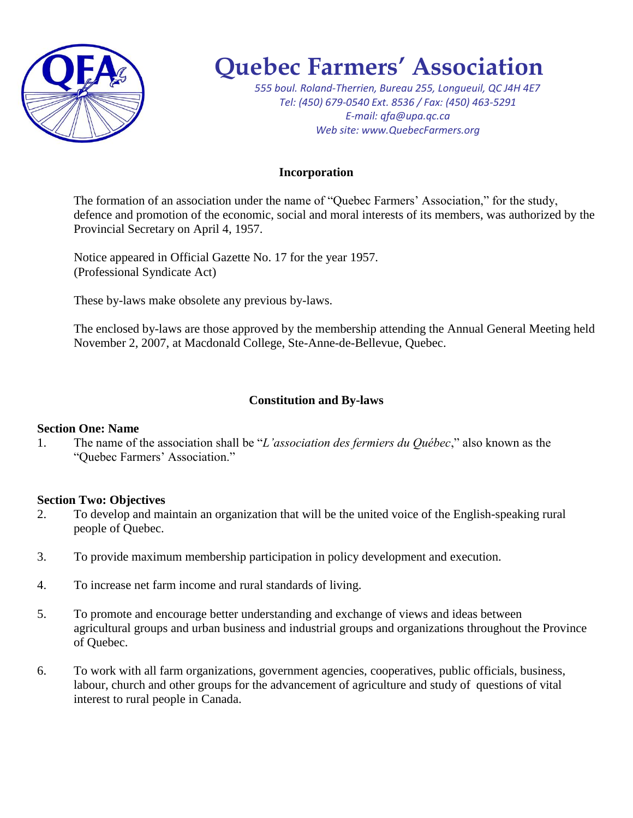

# **Quebec Farmers' Association**

*555 boul. Roland-Therrien, Bureau 255, Longueuil, QC J4H 4E7 Tel: (450) 679-0540 Ext. 8536 / Fax: (450) 463-5291 E-mail: qfa@upa.qc.ca Web site: www.QuebecFarmers.org*

## **Incorporation**

The formation of an association under the name of "Quebec Farmers' Association," for the study, defence and promotion of the economic, social and moral interests of its members, was authorized by the Provincial Secretary on April 4, 1957.

Notice appeared in Official Gazette No. 17 for the year 1957. (Professional Syndicate Act)

These by-laws make obsolete any previous by-laws.

The enclosed by-laws are those approved by the membership attending the Annual General Meeting held November 2, 2007, at Macdonald College, Ste-Anne-de-Bellevue, Quebec.

## **Constitution and By-laws**

## **Section One: Name**

1. The name of the association shall be "*L'association des fermiers du Québec*," also known as the "Quebec Farmers' Association."

## **Section Two: Objectives**

- 2. To develop and maintain an organization that will be the united voice of the English-speaking rural people of Quebec.
- 3. To provide maximum membership participation in policy development and execution.
- 4. To increase net farm income and rural standards of living.
- 5. To promote and encourage better understanding and exchange of views and ideas between agricultural groups and urban business and industrial groups and organizations throughout the Province of Quebec.
- 6. To work with all farm organizations, government agencies, cooperatives, public officials, business, labour, church and other groups for the advancement of agriculture and study of questions of vital interest to rural people in Canada.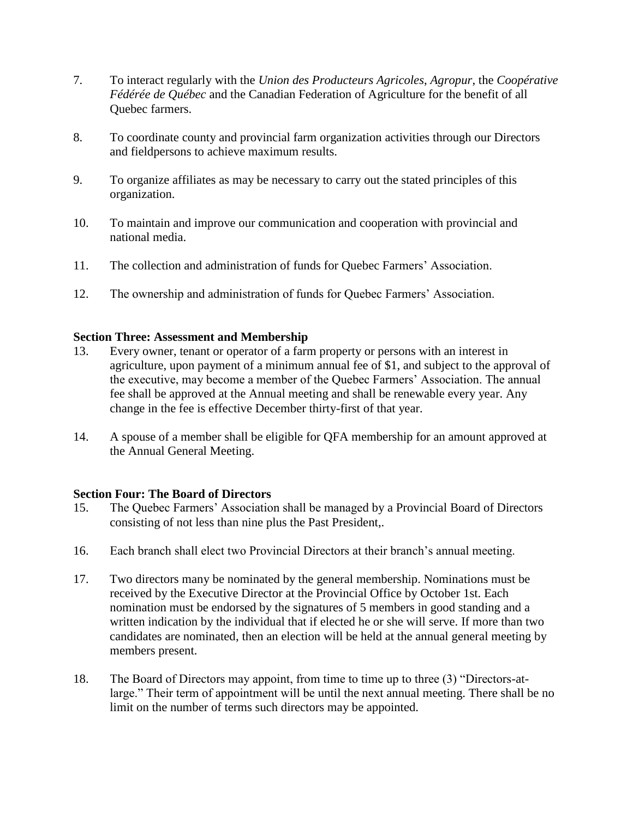- 7. To interact regularly with the *Union des Producteurs Agricoles*, *Agropur*, the *Coopérative Fédérée de Québec* and the Canadian Federation of Agriculture for the benefit of all Quebec farmers.
- 8. To coordinate county and provincial farm organization activities through our Directors and fieldpersons to achieve maximum results.
- 9. To organize affiliates as may be necessary to carry out the stated principles of this organization.
- 10. To maintain and improve our communication and cooperation with provincial and national media.
- 11. The collection and administration of funds for Quebec Farmers' Association.
- 12. The ownership and administration of funds for Quebec Farmers' Association.

#### **Section Three: Assessment and Membership**

- 13. Every owner, tenant or operator of a farm property or persons with an interest in agriculture, upon payment of a minimum annual fee of \$1, and subject to the approval of the executive, may become a member of the Quebec Farmers' Association. The annual fee shall be approved at the Annual meeting and shall be renewable every year. Any change in the fee is effective December thirty-first of that year.
- 14. A spouse of a member shall be eligible for QFA membership for an amount approved at the Annual General Meeting.

#### **Section Four: The Board of Directors**

- 15. The Quebec Farmers' Association shall be managed by a Provincial Board of Directors consisting of not less than nine plus the Past President,.
- 16. Each branch shall elect two Provincial Directors at their branch's annual meeting.
- 17. Two directors many be nominated by the general membership. Nominations must be received by the Executive Director at the Provincial Office by October 1st. Each nomination must be endorsed by the signatures of 5 members in good standing and a written indication by the individual that if elected he or she will serve. If more than two candidates are nominated, then an election will be held at the annual general meeting by members present.
- 18. The Board of Directors may appoint, from time to time up to three (3) "Directors-atlarge." Their term of appointment will be until the next annual meeting. There shall be no limit on the number of terms such directors may be appointed.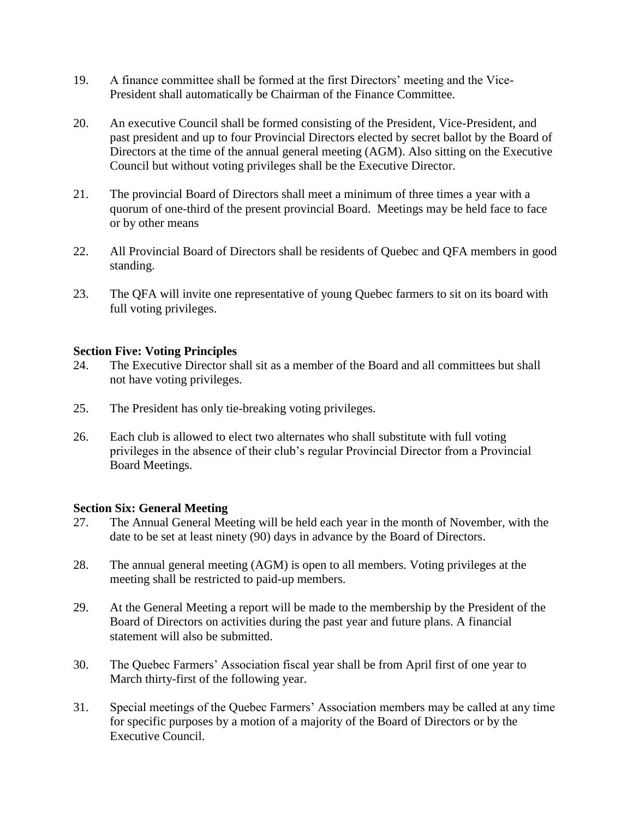- 19. A finance committee shall be formed at the first Directors' meeting and the Vice-President shall automatically be Chairman of the Finance Committee.
- 20. An executive Council shall be formed consisting of the President, Vice-President, and past president and up to four Provincial Directors elected by secret ballot by the Board of Directors at the time of the annual general meeting (AGM). Also sitting on the Executive Council but without voting privileges shall be the Executive Director.
- 21. The provincial Board of Directors shall meet a minimum of three times a year with a quorum of one-third of the present provincial Board. Meetings may be held face to face or by other means
- 22. All Provincial Board of Directors shall be residents of Quebec and QFA members in good standing.
- 23. The QFA will invite one representative of young Quebec farmers to sit on its board with full voting privileges.

#### **Section Five: Voting Principles**

- 24. The Executive Director shall sit as a member of the Board and all committees but shall not have voting privileges.
- 25. The President has only tie-breaking voting privileges.
- 26. Each club is allowed to elect two alternates who shall substitute with full voting privileges in the absence of their club's regular Provincial Director from a Provincial Board Meetings.

## **Section Six: General Meeting**

- 27. The Annual General Meeting will be held each year in the month of November, with the date to be set at least ninety (90) days in advance by the Board of Directors.
- 28. The annual general meeting (AGM) is open to all members. Voting privileges at the meeting shall be restricted to paid-up members.
- 29. At the General Meeting a report will be made to the membership by the President of the Board of Directors on activities during the past year and future plans. A financial statement will also be submitted.
- 30. The Quebec Farmers' Association fiscal year shall be from April first of one year to March thirty-first of the following year.
- 31. Special meetings of the Quebec Farmers' Association members may be called at any time for specific purposes by a motion of a majority of the Board of Directors or by the Executive Council.